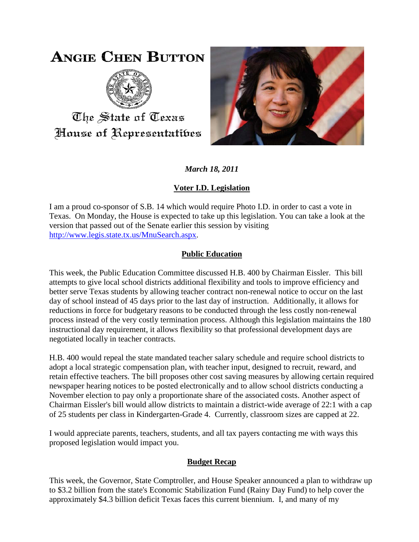# **ANGIE CHEN BUTTON**



The State of Texas House of Representatibes



*March 18, 2011*

# **Voter I.D. Legislation**

I am a proud co-sponsor of S.B. 14 which would require Photo I.D. in order to cast a vote in Texas. On Monday, the House is expected to take up this legislation. You can take a look at the version that passed out of the Senate earlier this session by visiting [http://www.legis.state.tx.us/MnuSearch.aspx.](http://www.legis.state.tx.us/MnuSearch.aspx)

# **Public Education**

This week, the Public Education Committee discussed H.B. 400 by Chairman Eissler. This bill attempts to give local school districts additional flexibility and tools to improve efficiency and better serve Texas students by allowing teacher contract non-renewal notice to occur on the last day of school instead of 45 days prior to the last day of instruction. Additionally, it allows for reductions in force for budgetary reasons to be conducted through the less costly non-renewal process instead of the very costly termination process. Although this legislation maintains the 180 instructional day requirement, it allows flexibility so that professional development days are negotiated locally in teacher contracts.

H.B. 400 would repeal the state mandated teacher salary schedule and require school districts to adopt a local strategic compensation plan, with teacher input, designed to recruit, reward, and retain effective teachers. The bill proposes other cost saving measures by allowing certain required newspaper hearing notices to be posted electronically and to allow school districts conducting a November election to pay only a proportionate share of the associated costs. Another aspect of Chairman Eissler's bill would allow districts to maintain a district-wide average of 22:1 with a cap of 25 students per class in Kindergarten-Grade 4. Currently, classroom sizes are capped at 22.

I would appreciate parents, teachers, students, and all tax payers contacting me with ways this proposed legislation would impact you.

### **Budget Recap**

This week, the Governor, State Comptroller, and House Speaker announced a plan to withdraw up to \$3.2 billion from the state's Economic Stabilization Fund (Rainy Day Fund) to help cover the approximately \$4.3 billion deficit Texas faces this current biennium. I, and many of my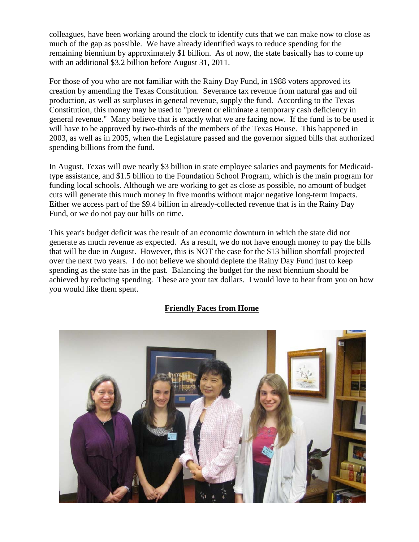colleagues, have been working around the clock to identify cuts that we can make now to close as much of the gap as possible. We have already identified ways to reduce spending for the remaining biennium by approximately \$1 billion. As of now, the state basically has to come up with an additional \$3.2 billion before August 31, 2011.

For those of you who are not familiar with the Rainy Day Fund, in 1988 voters approved its creation by amending the Texas Constitution. Severance tax revenue from natural gas and oil production, as well as surpluses in general revenue, supply the fund. According to the Texas Constitution, this money may be used to "prevent or eliminate a temporary cash deficiency in general revenue." Many believe that is exactly what we are facing now. If the fund is to be used it will have to be approved by two-thirds of the members of the Texas House. This happened in 2003, as well as in 2005, when the Legislature passed and the governor signed bills that authorized spending billions from the fund.

In August, Texas will owe nearly \$3 billion in state employee salaries and payments for Medicaidtype assistance, and \$1.5 billion to the Foundation School Program, which is the main program for funding local schools. Although we are working to get as close as possible, no amount of budget cuts will generate this much money in five months without major negative long-term impacts. Either we access part of the \$9.4 billion in already-collected revenue that is in the Rainy Day Fund, or we do not pay our bills on time.

This year's budget deficit was the result of an economic downturn in which the state did not generate as much revenue as expected. As a result, we do not have enough money to pay the bills that will be due in August. However, this is NOT the case for the \$13 billion shortfall projected over the next two years. I do not believe we should deplete the Rainy Day Fund just to keep spending as the state has in the past. Balancing the budget for the next biennium should be achieved by reducing spending. These are your tax dollars. I would love to hear from you on how you would like them spent.

### **Friendly Faces from Home**